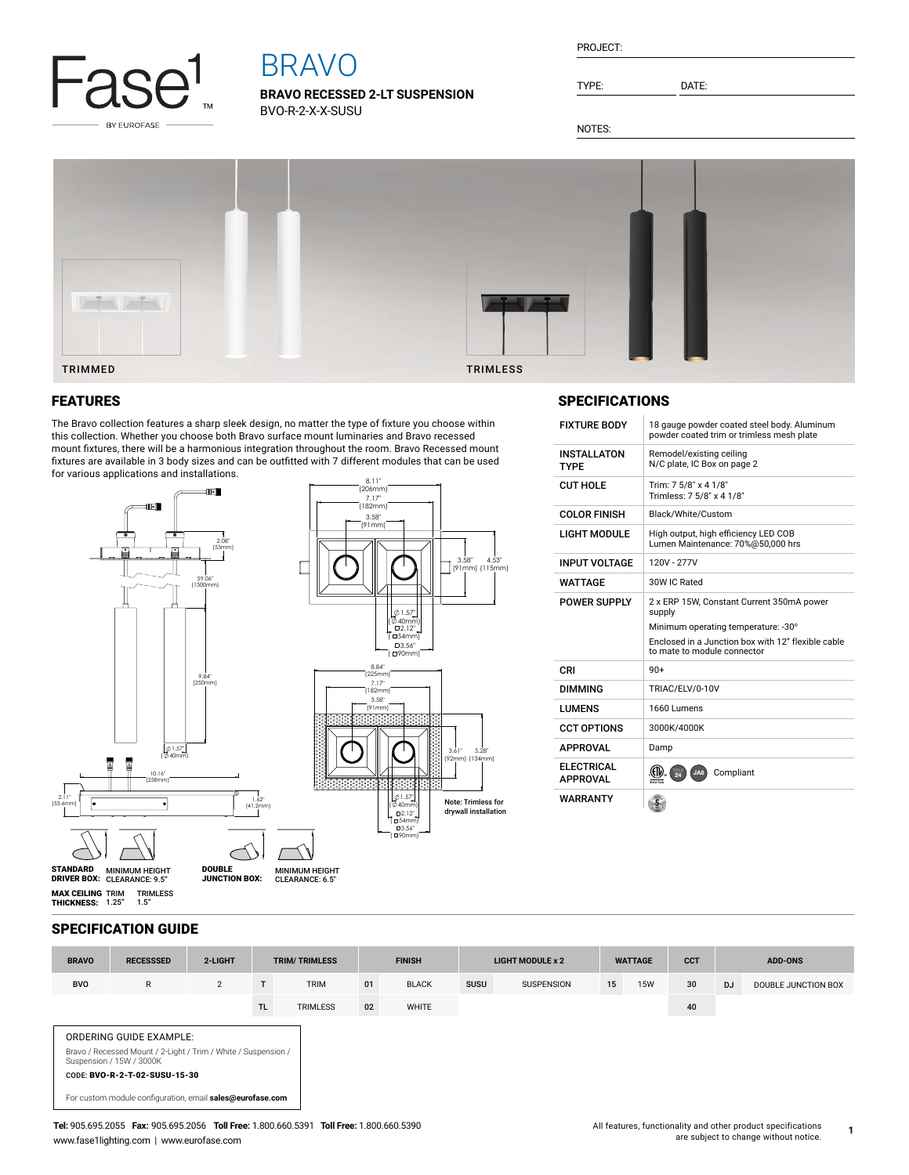

# BRAVO

**BRAVO RECESSED 2-LT SUSPENSION** BVO-R-2-X-X-SUSU

| PROJECT: |  |
|----------|--|
|          |  |

TYPE: DATE:

NOTES:



## FEATURES

The Bravo collection features a sharp sleek design, no matter the type of fixture you choose within this collection. Whether you choose both Bravo surface mount luminaries and Bravo recessed mount fixtures, there will be a harmonious integration throughout the room. Bravo Recessed mount fixtures are available in 3 body sizes and can be outfitted with 7 different modules that can be used for various applications and installations.



# SPECIFICATIONS

| <b>FIXTURE BODY</b>                   | 18 gauge powder coated steel body. Aluminum<br>powder coated trim or trimless mesh plate                                                                                        |
|---------------------------------------|---------------------------------------------------------------------------------------------------------------------------------------------------------------------------------|
| <b>INSTALLATON</b><br><b>TYPF</b>     | Remodel/existing ceiling<br>N/C plate, IC Box on page 2                                                                                                                         |
| <b>CUT HOLE</b>                       | Trim: 7 5/8" x 4 1/8"<br>Trimless: 7 5/8" x 4 1/8"                                                                                                                              |
| <b>COLOR FINISH</b>                   | Black/White/Custom                                                                                                                                                              |
| <b>LIGHT MODULE</b>                   | High output, high efficiency LED COB<br>Lumen Maintenance: 70%@50,000 hrs                                                                                                       |
| <b>INPUT VOLTAGE</b>                  | 120V - 277V                                                                                                                                                                     |
| WATTAGE                               | 30W IC Rated                                                                                                                                                                    |
| POWER SUPPLY                          | 2 x ERP 15W, Constant Current 350mA power<br>supply<br>Minimum operating temperature: -30°<br>Enclosed in a Junction box with 12" flexible cable<br>to mate to module connector |
| CRI                                   | $90+$                                                                                                                                                                           |
| <b>DIMMING</b>                        | TRIAC/ELV/0-10V                                                                                                                                                                 |
| <b>I UMENS</b>                        | 1660 Lumens                                                                                                                                                                     |
| <b>CCT OPTIONS</b>                    | 3000K/4000K                                                                                                                                                                     |
| <b>APPROVAL</b>                       | Damp                                                                                                                                                                            |
| <b>FI FCTRICAL</b><br><b>APPROVAL</b> | Compliant<br>$\overline{24}$<br>JA8<br>ntertek                                                                                                                                  |
| WARRANTY                              |                                                                                                                                                                                 |

### SPECIFICATION GUIDE

1.5"

| <b>BRAVO</b>                                                                                                          | <b>RECESSSED</b>                                                                           | 2-LIGHT | <b>TRIM/TRIMLESS</b> |                 | <b>FINISH</b> |              | LIGHT MODULE x 2 |                   | <b>WATTAGE</b> |            | <b>CCT</b> | <b>ADD-ONS</b> |                     |
|-----------------------------------------------------------------------------------------------------------------------|--------------------------------------------------------------------------------------------|---------|----------------------|-----------------|---------------|--------------|------------------|-------------------|----------------|------------|------------|----------------|---------------------|
| <b>BVO</b>                                                                                                            | R                                                                                          | 2       |                      | <b>TRIM</b>     | 01            | <b>BLACK</b> | SUSU             | <b>SUSPENSION</b> | 15             | <b>15W</b> | 30         | <b>DJ</b>      | DOUBLE JUNCTION BOX |
|                                                                                                                       |                                                                                            |         | TL.                  | <b>TRIMLESS</b> | 02            | WHITE        |                  |                   |                |            | 40         |                |                     |
| ORDERING GUIDE EXAMPLE:<br>Bravo / Recessed Mount / 2-Light / Trim / White / Suspension /<br>Suspension / 15W / 3000K |                                                                                            |         |                      |                 |               |              |                  |                   |                |            |            |                |                     |
|                                                                                                                       | CODE: BVO-R-2-T-02-SUSU-15-30<br>For custom module configuration, email sales@eurofase.com |         |                      |                 |               |              |                  |                   |                |            |            |                |                     |

**1**